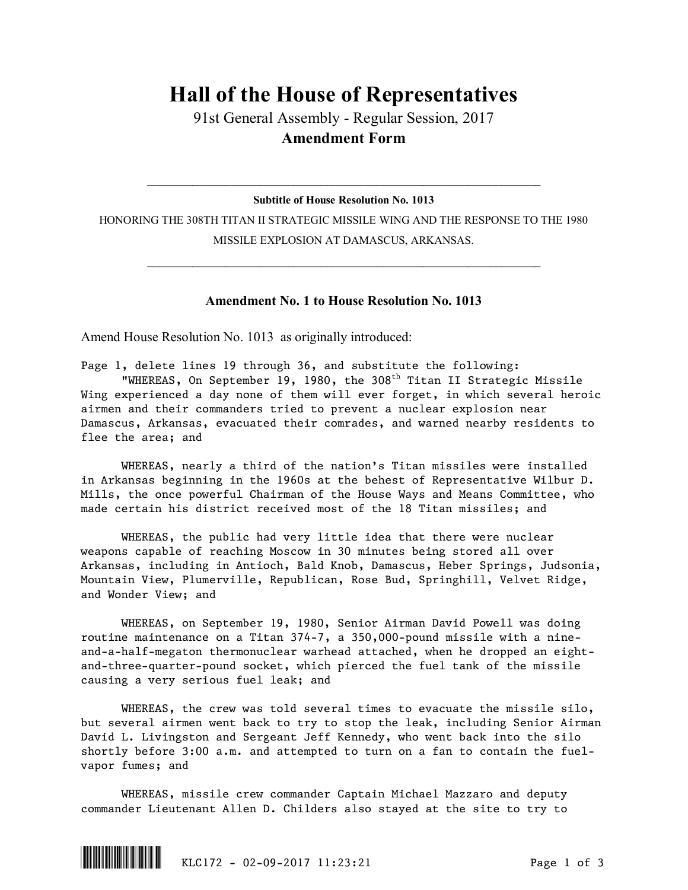## **Hall of the House of Representatives**

91st General Assembly - Regular Session, 2017 **Amendment Form**

## $\mathcal{L}_\text{max}$  and  $\mathcal{L}_\text{max}$  and  $\mathcal{L}_\text{max}$  and  $\mathcal{L}_\text{max}$  and  $\mathcal{L}_\text{max}$  and  $\mathcal{L}_\text{max}$ **Subtitle of House Resolution No. 1013**

HONORING THE 308TH TITAN II STRATEGIC MISSILE WING AND THE RESPONSE TO THE 1980 MISSILE EXPLOSION AT DAMASCUS, ARKANSAS.

 $\mathcal{L}_\text{max}$  and  $\mathcal{L}_\text{max}$  and  $\mathcal{L}_\text{max}$  and  $\mathcal{L}_\text{max}$  and  $\mathcal{L}_\text{max}$  and  $\mathcal{L}_\text{max}$ 

## **Amendment No. 1 to House Resolution No. 1013**

Amend House Resolution No. 1013 as originally introduced:

Page 1, delete lines 19 through 36, and substitute the following: "WHEREAS, On September 19, 1980, the 308<sup>th</sup> Titan II Strategic Missile Wing experienced a day none of them will ever forget, in which several heroic

airmen and their commanders tried to prevent a nuclear explosion near Damascus, Arkansas, evacuated their comrades, and warned nearby residents to flee the area; and

WHEREAS, nearly a third of the nation's Titan missiles were installed in Arkansas beginning in the 1960s at the behest of Representative Wilbur D. Mills, the once powerful Chairman of the House Ways and Means Committee, who made certain his district received most of the 18 Titan missiles; and

WHEREAS, the public had very little idea that there were nuclear weapons capable of reaching Moscow in 30 minutes being stored all over Arkansas, including in Antioch, Bald Knob, Damascus, Heber Springs, Judsonia, Mountain View, Plumerville, Republican, Rose Bud, Springhill, Velvet Ridge, and Wonder View; and

WHEREAS, on September 19, 1980, Senior Airman David Powell was doing routine maintenance on a Titan 374-7, a 350,000-pound missile with a nineand-a-half-megaton thermonuclear warhead attached, when he dropped an eightand-three-quarter-pound socket, which pierced the fuel tank of the missile causing a very serious fuel leak; and

WHEREAS, the crew was told several times to evacuate the missile silo, but several airmen went back to try to stop the leak, including Senior Airman David L. Livingston and Sergeant Jeff Kennedy, who went back into the silo shortly before 3:00 a.m. and attempted to turn on a fan to contain the fuelvapor fumes; and

WHEREAS, missile crew commander Captain Michael Mazzaro and deputy commander Lieutenant Allen D. Childers also stayed at the site to try to

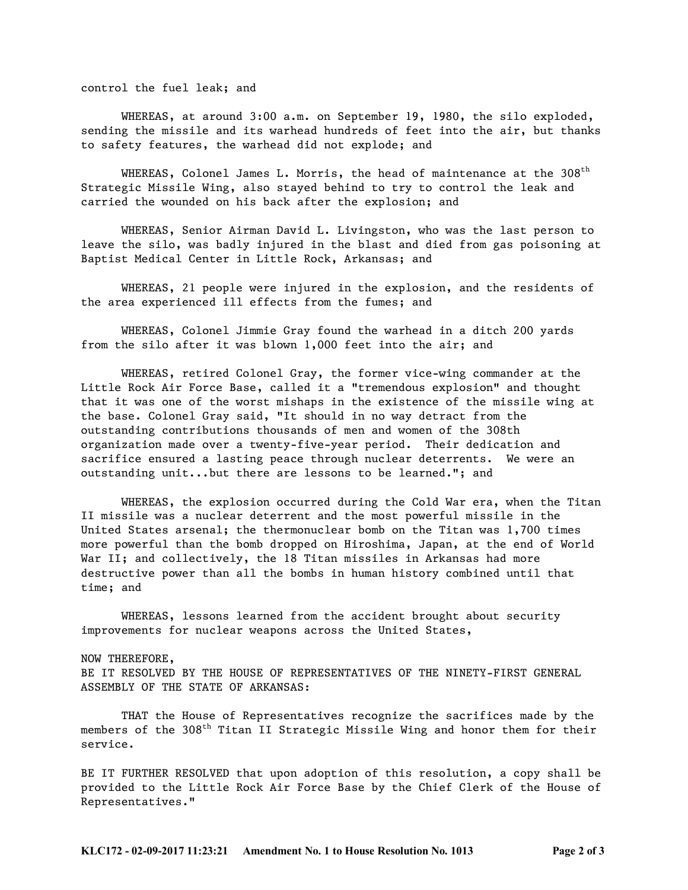control the fuel leak; and

WHEREAS, at around 3:00 a.m. on September 19, 1980, the silo exploded, sending the missile and its warhead hundreds of feet into the air, but thanks to safety features, the warhead did not explode; and

WHEREAS, Colonel James L. Morris, the head of maintenance at the  $308<sup>th</sup>$ Strategic Missile Wing, also stayed behind to try to control the leak and carried the wounded on his back after the explosion; and

WHEREAS, Senior Airman David L. Livingston, who was the last person to leave the silo, was badly injured in the blast and died from gas poisoning at Baptist Medical Center in Little Rock, Arkansas; and

WHEREAS, 21 people were injured in the explosion, and the residents of the area experienced ill effects from the fumes; and

WHEREAS, Colonel Jimmie Gray found the warhead in a ditch 200 yards from the silo after it was blown 1,000 feet into the air; and

WHEREAS, retired Colonel Gray, the former vice-wing commander at the Little Rock Air Force Base, called it a "tremendous explosion" and thought that it was one of the worst mishaps in the existence of the missile wing at the base. Colonel Gray said, "It should in no way detract from the outstanding contributions thousands of men and women of the 308th organization made over a twenty-five-year period. Their dedication and sacrifice ensured a lasting peace through nuclear deterrents. We were an outstanding unit...but there are lessons to be learned."; and

WHEREAS, the explosion occurred during the Cold War era, when the Titan II missile was a nuclear deterrent and the most powerful missile in the United States arsenal; the thermonuclear bomb on the Titan was 1,700 times more powerful than the bomb dropped on Hiroshima, Japan, at the end of World War II; and collectively, the 18 Titan missiles in Arkansas had more destructive power than all the bombs in human history combined until that time; and

WHEREAS, lessons learned from the accident brought about security improvements for nuclear weapons across the United States,

## NOW THEREFORE,

BE IT RESOLVED BY THE HOUSE OF REPRESENTATIVES OF THE NINETY-FIRST GENERAL ASSEMBLY OF THE STATE OF ARKANSAS:

THAT the House of Representatives recognize the sacrifices made by the members of the  $308<sup>th</sup>$  Titan II Strategic Missile Wing and honor them for their service.

BE IT FURTHER RESOLVED that upon adoption of this resolution, a copy shall be provided to the Little Rock Air Force Base by the Chief Clerk of the House of Representatives."